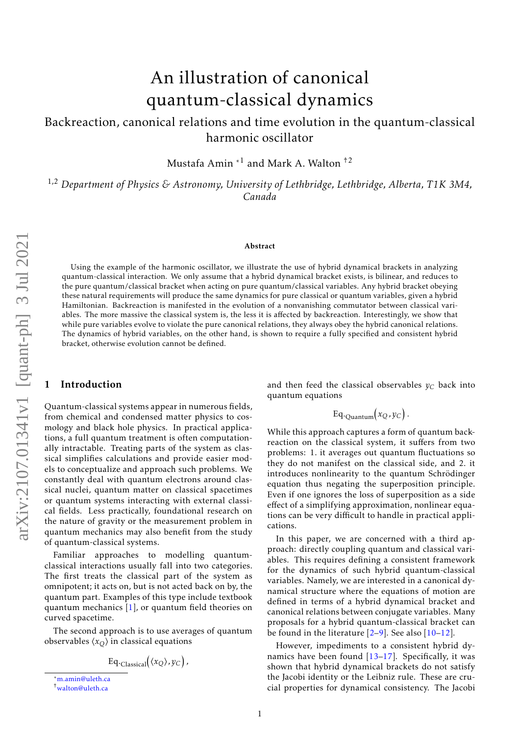# An illustration of canonical quantum-classical dynamics

Backreaction, canonical relations and time evolution in the quantum-classical harmonic oscillator

Mustafa Amin $^{\ast1}$  and Mark A. Walton  $^{\dag2}$ 

1,2 *Department of Physics & Astronomy, University of Lethbridge, Lethbridge, Alberta, T1K 3M4, Canada*

#### Abstract

Using the example of the harmonic oscillator, we illustrate the use of hybrid dynamical brackets in analyzing quantum-classical interaction. We only assume that a hybrid dynamical bracket exists, is bilinear, and reduces to the pure quantum/classical bracket when acting on pure quantum/classical variables. Any hybrid bracket obeying these natural requirements will produce the same dynamics for pure classical or quantum variables, given a hybrid Hamiltonian. Backreaction is manifested in the evolution of a nonvanishing commutator between classical variables. The more massive the classical system is, the less it is affected by backreaction. Interestingly, we show that while pure variables evolve to violate the pure canonical relations, they always obey the hybrid canonical relations. The dynamics of hybrid variables, on the other hand, is shown to require a fully specified and consistent hybrid bracket, otherwise evolution cannot be defined.

### 1 Introduction

Quantum-classical systems appear in numerous fields, from chemical and condensed matter physics to cosmology and black hole physics. In practical applications, a full quantum treatment is often computationally intractable. Treating parts of the system as classical simplifies calculations and provide easier models to conceptualize and approach such problems. We constantly deal with quantum electrons around classical nuclei, quantum matter on classical spacetimes or quantum systems interacting with external classical fields. Less practically, foundational research on the nature of gravity or the measurement problem in quantum mechanics may also benefit from the study of quantum-classical systems.

Familiar approaches to modelling quantumclassical interactions usually fall into two categories. The first treats the classical part of the system as omnipotent; it acts on, but is not acted back on by, the quantum part. Examples of this type include textbook quantum mechanics [\[1\]](#page-5-0), or quantum field theories on curved spacetime.

The second approach is to use averages of quantum observables  $\langle x_O \rangle$  in classical equations

$$
\mathrm{Eq.}_{\mathrm{Classical}}\bigl(\langle x_Q \rangle, y_C\bigr),
$$

and then feed the classical observables  $y_C$  back into quantum equations

$$
\mathrm{Eq.}_{\mathrm{Quantum}}(x_Q, y_C).
$$

While this approach captures a form of quantum backreaction on the classical system, it suffers from two problems: 1. it averages out quantum fluctuations so they do not manifest on the classical side, and 2. it introduces nonlinearity to the quantum Schrödinger equation thus negating the superposition principle. Even if one ignores the loss of superposition as a side effect of a simplifying approximation, nonlinear equations can be very difficult to handle in practical applications.

In this paper, we are concerned with a third approach: directly coupling quantum and classical variables. This requires defining a consistent framework for the dynamics of such hybrid quantum-classical variables. Namely, we are interested in a canonical dynamical structure where the equations of motion are defined in terms of a hybrid dynamical bracket and canonical relations between conjugate variables. Many proposals for a hybrid quantum-classical bracket can be found in the literature  $[2-9]$  $[2-9]$ . See also  $[10-12]$  $[10-12]$ .

However, impediments to a consistent hybrid dynamics have been found  $[13-17]$  $[13-17]$ . Specifically, it was shown that hybrid dynamical brackets do not satisfy the Jacobi identity or the Leibniz rule. These are crucial properties for dynamical consistency. The Jacobi

<sup>\*</sup>[m.amin@uleth.ca](mailto:m.amin@uleth.ca)

<sup>†</sup>[walton@uleth.ca](mailto:walton@uleth.ca)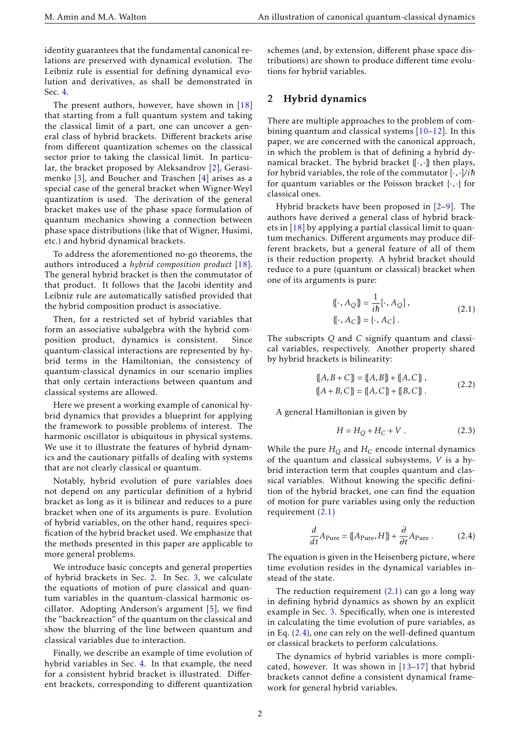identity guarantees that the fundamental canonical relations are preserved with dynamical evolution. The Leibniz rule is essential for defining dynamical evolution and derivatives, as shall be demonstrated in Sec. [4.](#page-3-0)

The present authors, however, have shown in  $[18]$ that starting from a full quantum system and taking the classical limit of a part, one can uncover a general class of hybrid brackets. Different brackets arise from different quantization schemes on the classical sector prior to taking the classical limit. In particular, the bracket proposed by Aleksandrov [\[2\]](#page-5-1), Gerasimenko [\[3\]](#page-5-8), and Boucher and Traschen [\[4\]](#page-5-9) arises as a special case of the general bracket when Wigner-Weyl quantization is used. The derivation of the general bracket makes use of the phase space formulation of quantum mechanics showing a connection between phase space distributions (like that of Wigner, Husimi, etc.) and hybrid dynamical brackets.

To address the aforementioned no-go theorems, the authors introduced a *hybrid composition product* [\[18\]](#page-5-7). The general hybrid bracket is then the commutator of that product. It follows that the Jacobi identity and Leibniz rule are automatically satisfied provided that the hybrid composition product is associative.

Then, for a restricted set of hybrid variables that form an associative subalgebra with the hybrid composition product, dynamics is consistent. Since quantum-classical interactions are represented by hybrid terms in the Hamiltonian, the consistency of quantum-classical dynamics in our scenario implies that only certain interactions between quantum and classical systems are allowed.

Here we present a working example of canonical hybrid dynamics that provides a blueprint for applying the framework to possible problems of interest. The harmonic oscillator is ubiquitous in physical systems. We use it to illustrate the features of hybrid dynamics and the cautionary pitfalls of dealing with systems that are not clearly classical or quantum.

Notably, hybrid evolution of pure variables does not depend on any particular definition of a hybrid bracket as long as it is bilinear and reduces to a pure bracket when one of its arguments is pure. Evolution of hybrid variables, on the other hand, requires specification of the hybrid bracket used. We emphasize that the methods presented in this paper are applicable to more general problems.

We introduce basic concepts and general properties of hybrid brackets in Sec. [2.](#page-1-0) In Sec. [3,](#page-2-0) we calculate the equations of motion of pure classical and quantum variables in the quantum-classical harmonic oscillator. Adopting Anderson's argument [\[5\]](#page-5-10), we find the "backreaction" of the quantum on the classical and show the blurring of the line between quantum and classical variables due to interaction.

Finally, we describe an example of time evolution of hybrid variables in Sec. [4.](#page-3-0) In that example, the need for a consistent hybrid bracket is illustrated. Different brackets, corresponding to different quantization schemes (and, by extension, different phase space distributions) are shown to produce different time evolutions for hybrid variables.

## <span id="page-1-0"></span>2 Hybrid dynamics

There are multiple approaches to the problem of combining quantum and classical systems  $[10-12]$  $[10-12]$ . In this paper, we are concerned with the canonical approach, in which the problem is that of defining a hybrid dynamical bracket. The hybrid bracket {[·*,*·]} then plays, for hybrid variables, the role of the commutator  $[\cdot, \cdot]/i\hbar$ for quantum variables or the Poisson bracket {·*,*·} for classical ones.

Hybrid brackets have been proposed in [\[2](#page-5-1)[–9\]](#page-5-2). The authors have derived a general class of hybrid brackets in [\[18\]](#page-5-7) by applying a partial classical limit to quantum mechanics. Different arguments may produce different brackets, but a general feature of all of them is their reduction property. A hybrid bracket should reduce to a pure (quantum or classical) bracket when one of its arguments is pure:

<span id="page-1-1"></span>
$$
\{[\cdot, A_{Q}]\} = \frac{1}{i\hbar} [\cdot, A_{Q}],
$$
  

$$
\{[\cdot, A_{C}]\} = \{\cdot, A_{C}\}.
$$
 (2.1)

The subscripts *Q* and *C* signify quantum and classical variables, respectively. Another property shared by hybrid brackets is bilinearity:

$$
\{[A, B + C] \} = \{[A, B] \} + \{[A, C] \},
$$

$$
\{[A + B, C] \} = \{[A, C] \} + \{[B, C] \}.
$$
 (2.2)

A general Hamiltonian is given by

<span id="page-1-4"></span><span id="page-1-3"></span>
$$
H = H_Q + H_C + V \tag{2.3}
$$

While the pure  $H<sub>O</sub>$  and  $H<sub>C</sub>$  encode internal dynamics of the quantum and classical subsystems, *V* is a hybrid interaction term that couples quantum and classical variables. Without knowing the specific definition of the hybrid bracket, one can find the equation of motion for pure variables using only the reduction requirement [\(2.1\)](#page-1-1)

<span id="page-1-2"></span>
$$
\frac{d}{dt}A_{\text{Pure}} = \{ [A_{\text{Pure}}, H] \} + \frac{\partial}{\partial t} A_{\text{Pure}} .
$$
 (2.4)

The equation is given in the Heisenberg picture, where time evolution resides in the dynamical variables instead of the state.

The reduction requirement  $(2.1)$  can go a long way in defining hybrid dynamics as shown by an explicit example in Sec. [3.](#page-2-0) Specifically, when one is interested in calculating the time evolution of pure variables, as in Eq. [\(2.4\)](#page-1-2), one can rely on the well-defined quantum or classical brackets to perform calculations.

The dynamics of hybrid variables is more complicated, however. It was shown in  $[13-17]$  $[13-17]$  that hybrid brackets cannot define a consistent dynamical framework for general hybrid variables.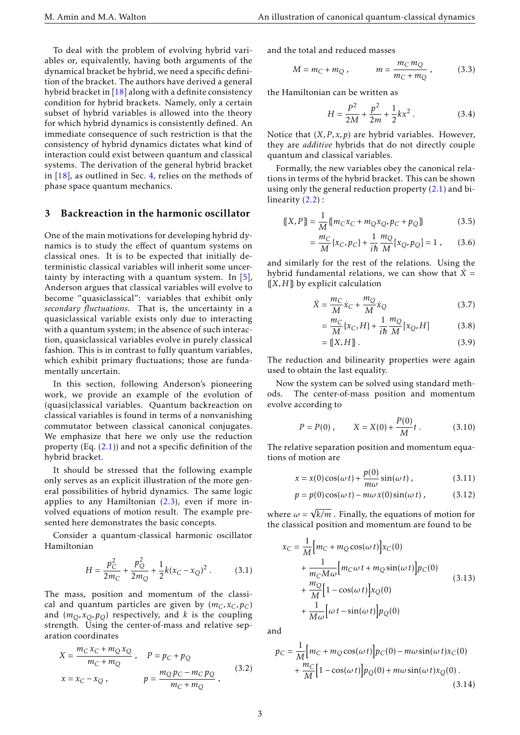To deal with the problem of evolving hybrid variables or, equivalently, having both arguments of the dynamical bracket be hybrid, we need a specific definition of the bracket. The authors have derived a general hybrid bracket in [\[18\]](#page-5-7) along with a definite consistency condition for hybrid brackets. Namely, only a certain subset of hybrid variables is allowed into the theory for which hybrid dynamics is consistently defined. An immediate consequence of such restriction is that the consistency of hybrid dynamics dictates what kind of interaction could exist between quantum and classical systems. The derivation of the general hybrid bracket in  $[18]$ , as outlined in Sec. [4,](#page-3-0) relies on the methods of phase space quantum mechanics.

#### <span id="page-2-0"></span>3 Backreaction in the harmonic oscillator

One of the main motivations for developing hybrid dynamics is to study the effect of quantum systems on classical ones. It is to be expected that initially deterministic classical variables will inherit some uncertainty by interacting with a quantum system. In  $[5]$ , Anderson argues that classical variables will evolve to become "quasiclassical": variables that exhibit only *secondary fluctuations*. That is, the uncertainty in a quasiclassical variable exists only due to interacting with a quantum system; in the absence of such interaction, quasiclassical variables evolve in purely classical fashion. This is in contrast to fully quantum variables, which exhibit primary fluctuations; those are fundamentally uncertain.

In this section, following Anderson's pioneering work, we provide an example of the evolution of (quasi)classical variables. Quantum backreaction on classical variables is found in terms of a nonvanishing commutator between classical canonical conjugates. We emphasize that here we only use the reduction property  $(Eq. (2.1))$  $(Eq. (2.1))$  $(Eq. (2.1))$  and not a specific definition of the hybrid bracket.

It should be stressed that the following example only serves as an explicit illustration of the more general possibilities of hybrid dynamics. The same logic applies to any Hamiltonian [\(2.3\)](#page-1-3), even if more involved equations of motion result. The example presented here demonstrates the basic concepts.

Consider a quantum-classical harmonic oscillator Hamiltonian

$$
H = \frac{p_C^2}{2m_C} + \frac{p_Q^2}{2m_Q} + \frac{1}{2}k(x_C - x_Q)^2.
$$
 (3.1)

The mass, position and momentum of the classical and quantum particles are given by  $(m_C, x_C, p_C)$ and  $(m_O, x_O, p_O)$  respectively, and *k* is the coupling strength. Using the center-of-mass and relative separation coordinates

$$
X = \frac{m_C x_C + m_Q x_Q}{m_C + m_Q} , \quad P = p_C + p_Q
$$
  

$$
x = x_C - x_Q , \qquad p = \frac{m_Q p_C - m_C p_Q}{m_C + m_Q} , \qquad (3.2)
$$

and the total and reduced masses

$$
M = m_C + m_Q, \qquad m = \frac{m_C m_Q}{m_C + m_Q}, \qquad (3.3)
$$

the Hamiltonian can be written as

$$
H = \frac{P^2}{2M} + \frac{p^2}{2m} + \frac{1}{2}kx^2
$$
 (3.4)

Notice that  $(X, P, x, p)$  are hybrid variables. However, they are *additive* hybrids that do not directly couple quantum and classical variables.

Formally, the new variables obey the canonical relations in terms of the hybrid bracket. This can be shown using only the general reduction property  $(2.1)$  and bilinearity  $(2.2)$ :

$$
\{[X, P]\} = \frac{1}{M} \{ [m_C x_C + m_Q x_Q, p_C + p_Q] \}
$$
(3.5)

$$
= \frac{m_C}{M} \{x_C, p_C\} + \frac{1}{i\hbar} \frac{m_Q}{M} [x_Q, p_Q] = 1 , \qquad (3.6)
$$

and similarly for the rest of the relations. Using the hybrid fundamental relations, we can show that  $\dot{X}$  =  ${[X,H]}$  by explicit calculation

$$
\dot{X} = \frac{m_C}{M}\dot{x}_C + \frac{m_Q}{M}\dot{x}_Q
$$
\n(3.7)

$$
=\frac{m_C}{M}\left\{x_C, H\right\} + \frac{1}{i\hbar} \frac{m_Q}{M} \left[x_Q, H\right]
$$
 (3.8)

$$
= \{ [X, H] \} . \tag{3.9}
$$

The reduction and bilinearity properties were again used to obtain the last equality.

Now the system can be solved using standard methods. The center-of-mass position and momentum evolve according to

$$
P = P(0), \qquad X = X(0) + \frac{P(0)}{M}t. \tag{3.10}
$$

The relative separation position and momentum equations of motion are

$$
x = x(0)\cos(\omega t) + \frac{p(0)}{m\omega}\sin(\omega t), \qquad (3.11)
$$

$$
p = p(0)\cos(\omega t) - m\omega x(0)\sin(\omega t), \qquad (3.12)
$$

where  $\omega$  = √ *k/m* . Finally, the equations of motion for the classical position and momentum are found to be

<span id="page-2-3"></span><span id="page-2-1"></span>
$$
x_C = \frac{1}{M} \Big[ m_C + m_Q \cos(\omega t) \Big] x_C(0)
$$
  
+ 
$$
\frac{1}{m_C M \omega} \Big[ m_C \omega t + m_Q \sin(\omega t) \Big] p_C(0)
$$
  
+ 
$$
\frac{m_Q}{M} \Big[ 1 - \cos(\omega t) \Big] x_Q(0)
$$
  
+ 
$$
\frac{1}{M \omega} \Big[ \omega t - \sin(\omega t) \Big] p_Q(0)
$$
 (3.13)

and

<span id="page-2-2"></span>
$$
p_C = \frac{1}{M} \Big[ m_C + m_Q \cos(\omega t) \Big] p_C(0) - m\omega \sin(\omega t) x_C(0)
$$

$$
+ \frac{m_C}{M} \Big[ 1 - \cos(\omega t) \Big] p_Q(0) + m\omega \sin(\omega t) x_Q(0) .
$$
(3.14)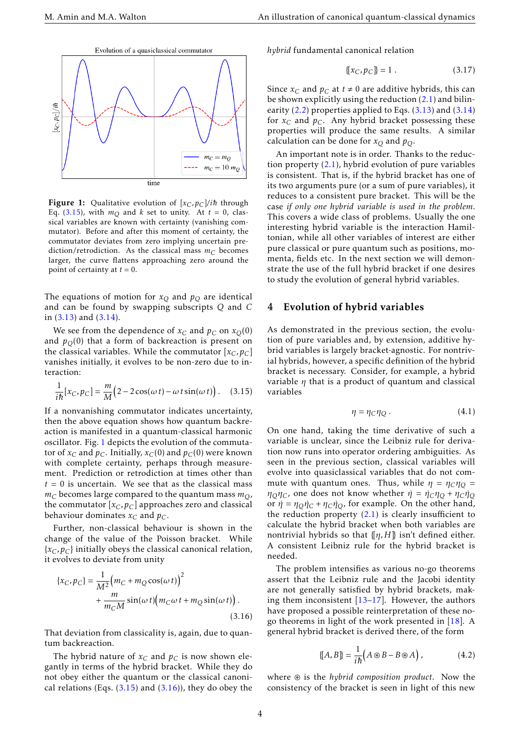<span id="page-3-2"></span>

Figure 1: Qualitative evolution of  $[x_C, p_C]/i\hbar$  through Eq. [\(3.15\)](#page-3-1), with  $m<sub>O</sub>$  and *k* set to unity. At  $t = 0$ , classical variables are known with certainty (vanishing commutator). Before and after this moment of certainty, the commutator deviates from zero implying uncertain prediction/retrodiction. As the classical mass  $m<sub>C</sub>$  becomes larger, the curve flattens approaching zero around the point of certainty at  $t = 0$ .

The equations of motion for  $x<sub>O</sub>$  and  $p<sub>O</sub>$  are identical and can be found by swapping subscripts *Q* and *C* in  $(3.13)$  and  $(3.14)$ .

We see from the dependence of  $x_C$  and  $p_C$  on  $x_O(0)$ and  $p<sub>O</sub>(0)$  that a form of backreaction is present on the classical variables. While the commutator  $[x_C, p_C]$ vanishes initially, it evolves to be non-zero due to interaction:

$$
\frac{1}{i\hbar}[x_C, p_C] = \frac{m}{M}\Big(2 - 2\cos(\omega t) - \omega t \sin(\omega t)\Big). \quad (3.15)
$$

If a nonvanishing commutator indicates uncertainty, then the above equation shows how quantum backreaction is manifested in a quantum-classical harmonic oscillator. Fig. [1](#page-3-2) depicts the evolution of the commutator of  $x_C$  and  $p_C$ . Initially,  $x_C(0)$  and  $p_C(0)$  were known with complete certainty, perhaps through measurement. Prediction or retrodiction at times other than  $t = 0$  is uncertain. We see that as the classical mass  $m<sub>C</sub>$  becomes large compared to the quantum mass  $m<sub>O</sub>$ , the commutator  $[x_C, p_C]$  approaches zero and classical behaviour dominates  $x_C$  and  $p_C$ .

Further, non-classical behaviour is shown in the change of the value of the Poisson bracket. While {*xC, pC*} initially obeys the classical canonical relation, it evolves to deviate from unity

$$
\{x_C, p_C\} = \frac{1}{M^2} \Big( m_C + m_Q \cos(\omega t) \Big)^2 + \frac{m}{m_C M} \sin(\omega t) \Big( m_C \omega t + m_Q \sin(\omega t) \Big). \tag{3.16}
$$

That deviation from classicality is, again, due to quantum backreaction.

The hybrid nature of  $x_C$  and  $p_C$  is now shown elegantly in terms of the hybrid bracket. While they do not obey either the quantum or the classical canonical relations (Eqs.  $(3.15)$  and  $(3.16)$ ), they do obey the *hybrid* fundamental canonical relation

$$
\{ [x_C, p_C] \} = 1 . \tag{3.17}
$$

Since  $x_C$  and  $p_C$  at  $t \neq 0$  are additive hybrids, this can be shown explicitly using the reduction [\(2.1\)](#page-1-1) and bilinearity  $(2.2)$  properties applied to Eqs.  $(3.13)$  and  $(3.14)$ for  $x_C$  and  $p_C$ . Any hybrid bracket possessing these properties will produce the same results. A similar calculation can be done for  $x_Q$  and  $p_Q$ .

An important note is in order. Thanks to the reduction property [\(2.1\)](#page-1-1), hybrid evolution of pure variables is consistent. That is, if the hybrid bracket has one of its two arguments pure (or a sum of pure variables), it reduces to a consistent pure bracket. This will be the case *if only one hybrid variable is used in the problem*. This covers a wide class of problems. Usually the one interesting hybrid variable is the interaction Hamiltonian, while all other variables of interest are either pure classical or pure quantum such as positions, momenta, fields etc. In the next section we will demonstrate the use of the full hybrid bracket if one desires to study the evolution of general hybrid variables.

### <span id="page-3-0"></span>4 Evolution of hybrid variables

As demonstrated in the previous section, the evolution of pure variables and, by extension, additive hybrid variables is largely bracket-agnostic. For nontrivial hybrids, however, a specific definition of the hybrid bracket is necessary. Consider, for example, a hybrid variable *η* that is a product of quantum and classical variables

$$
\eta = \eta_C \eta_Q \,. \tag{4.1}
$$

<span id="page-3-1"></span>On one hand, taking the time derivative of such a variable is unclear, since the Leibniz rule for derivation now runs into operator ordering ambiguities. As seen in the previous section, classical variables will evolve into quasiclassical variables that do not commute with quantum ones. Thus, while  $\eta = \eta_C \eta_O =$ *n*<sup>*Q</sup>Q*</sub>*C*, one does not know whether  $η = η_Cη$ <sup> $O + ηC$  $t$ *<sup>1</sup>* $O$ *</sub></sup></sup>* or  $\dot{\eta} = \eta_Q \dot{\eta}_C + \eta_C \dot{\eta}_Q$ , for example. On the other hand, the reduction property [\(2.1\)](#page-1-1) is clearly insufficient to calculate the hybrid bracket when both variables are nontrivial hybrids so that {[*η,H*]} isn't defined either. A consistent Leibniz rule for the hybrid bracket is needed.

<span id="page-3-3"></span>The problem intensifies as various no-go theorems assert that the Leibniz rule and the Jacobi identity are not generally satisfied by hybrid brackets, making them inconsistent [\[13–](#page-5-5)[17\]](#page-5-6). However, the authors have proposed a possible reinterpretation of these nogo theorems in light of the work presented in [\[18\]](#page-5-7). A general hybrid bracket is derived there, of the form

<span id="page-3-4"></span>
$$
\{[A, B]\} = \frac{1}{i\hbar} \Big( A \circledast B - B \circledast A \Big) , \tag{4.2}
$$

where  $\circledast$  is the *hybrid composition product*. Now the consistency of the bracket is seen in light of this new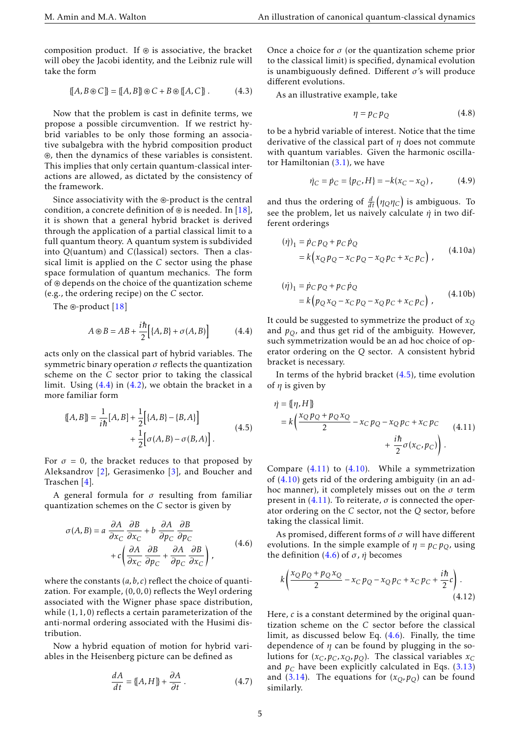composition product. If  $\circledast$  is associative, the bracket will obey the Jacobi identity, and the Leibniz rule will take the form

$$
\{ [A, B \circledast C] \} = \{ [A, B] \} \circledast C + B \circledast \{ [A, C] \} . \tag{4.3}
$$

Now that the problem is cast in definite terms, we propose a possible circumvention. If we restrict hybrid variables to be only those forming an associative subalgebra with the hybrid composition product ~, then the dynamics of these variables is consistent. This implies that only certain quantum-classical interactions are allowed, as dictated by the consistency of the framework.

Since associativity with the  $\circledast$ -product is the central condition, a concrete definition of  $\circledast$  is needed. In [\[18\]](#page-5-7), it is shown that a general hybrid bracket is derived through the application of a partial classical limit to a full quantum theory. A quantum system is subdivided into *Q*(uantum) and *C*(lassical) sectors. Then a classical limit is applied on the *C* sector using the phase space formulation of quantum mechanics. The form of  $\circledast$  depends on the choice of the quantization scheme (e.g., the ordering recipe) on the *C* sector.

The  $\circledast$ -product [\[18\]](#page-5-7)

$$
A \circledast B = AB + \frac{i\hbar}{2} [(A, B) + \sigma(A, B)] \tag{4.4}
$$

acts only on the classical part of hybrid variables. The symmetric binary operation *σ* reflects the quantization scheme on the *C* sector prior to taking the classical limit. Using  $(4.4)$  in  $(4.2)$ , we obtain the bracket in a more familiar form

$$
\[\{A, B\}] = \frac{1}{i\hbar} [A, B] + \frac{1}{2} \Big[ \{A, B\} - \{B, A\} \Big] + \frac{1}{2} \Big[ \sigma(A, B) - \sigma(B, A) \Big].
$$
\n(4.5)

For  $\sigma = 0$ , the bracket reduces to that proposed by Aleksandrov [\[2\]](#page-5-1), Gerasimenko [\[3\]](#page-5-8), and Boucher and Traschen [\[4\]](#page-5-9).

A general formula for *σ* resulting from familiar quantization schemes on the *C* sector is given by

$$
\sigma(A,B) = a \frac{\partial A}{\partial x_C} \frac{\partial B}{\partial x_C} + b \frac{\partial A}{\partial p_C} \frac{\partial B}{\partial p_C} + c \left( \frac{\partial A}{\partial x_C} \frac{\partial B}{\partial p_C} + \frac{\partial A}{\partial p_C} \frac{\partial B}{\partial x_C} \right),
$$
(4.6)

where the constants (*a,b, c*) reflect the choice of quantization. For example, (0*,*0*,*0) reflects the Weyl ordering associated with the Wigner phase space distribution, while (1*,*1*,*0) reflects a certain parameterization of the anti-normal ordering associated with the Husimi distribution.

Now a hybrid equation of motion for hybrid variables in the Heisenberg picture can be defined as

$$
\frac{dA}{dt} = [[A, H]] + \frac{\partial A}{\partial t}.
$$
\n(4.7)

Once a choice for  $\sigma$  (or the quantization scheme prior to the classical limit) is specified, dynamical evolution is unambiguously defined. Different *σ*'s will produce different evolutions.

As an illustrative example, take

$$
\eta = p_C p_Q \tag{4.8}
$$

to be a hybrid variable of interest. Notice that the time derivative of the classical part of *η* does not commute with quantum variables. Given the harmonic oscillator Hamiltonian [\(3.1\)](#page-2-3), we have

<span id="page-4-3"></span>
$$
\dot{\eta}_C = \dot{p}_C = \{p_C, H\} = -k(x_C - x_Q) \,,\tag{4.9}
$$

and thus the ordering of  $\frac{d}{dt}(\eta_Q \eta_C)$  is ambiguous. To see the problem, let us naively calculate *η*˙ in two different orderings

$$
(\dot{\eta})_1 = \dot{p}_C p_Q + p_C \dot{p}_Q = k \left( x_Q p_Q - x_C p_Q - x_Q p_C + x_C p_C \right),
$$
 (4.10a)

$$
(\eta)_1 = \dot{p}_C p_Q + p_C \dot{p}_Q
$$
  
=  $k (p_Q x_Q - x_C p_Q - x_Q p_C + x_C p_C)$ , (4.10b)

<span id="page-4-0"></span>It could be suggested to symmetrize the product of  $x<sub>O</sub>$ and  $p<sub>O</sub>$ , and thus get rid of the ambiguity. However, such symmetrization would be an ad hoc choice of operator ordering on the *Q* sector. A consistent hybrid bracket is necessary.

In terms of the hybrid bracket  $(4.5)$ , time evolution of *η* is given by

<span id="page-4-2"></span><span id="page-4-1"></span>
$$
\dot{\eta} = \{\eta, H\}
$$
  
=  $k \left( \frac{x_Q p_Q + p_Q x_Q}{2} - x_C p_Q - x_Q p_C + x_C p_C + x_C p_C + \frac{i\hbar}{2} \sigma(x_C, p_C) \right).$  (4.11)

Compare  $(4.11)$  to  $(4.10)$ . While a symmetrization of  $(4.10)$  gets rid of the ordering ambiguity (in an adhoc manner), it completely misses out on the *σ* term present in  $(4.11)$ . To reiterate,  $\sigma$  is connected the operator ordering on the *C* sector, not the *Q* sector, before taking the classical limit.

<span id="page-4-4"></span>As promised, different forms of *σ* will have different evolutions. In the simple example of  $\eta = p_C p_O$ , using the definition  $(4.6)$  of  $σ$ ,  $η$  becomes

$$
k \left( \frac{x_Q p_Q + p_Q x_Q}{2} - x_C p_Q - x_Q p_C + x_C p_C + \frac{i\hbar}{2} c \right). \tag{4.12}
$$

Here, *c* is a constant determined by the original quantization scheme on the *C* sector before the classical limit, as discussed below Eq. [\(4.6\)](#page-4-4). Finally, the time dependence of  $\eta$  can be found by plugging in the solutions for  $(x_C, p_C, x_O, p_O)$ . The classical variables  $x_C$ and  $p_C$  have been explicitly calculated in Eqs. [\(3.13\)](#page-2-1) and [\(3.14\)](#page-2-2). The equations for  $(x_Q, p_Q)$  can be found similarly.